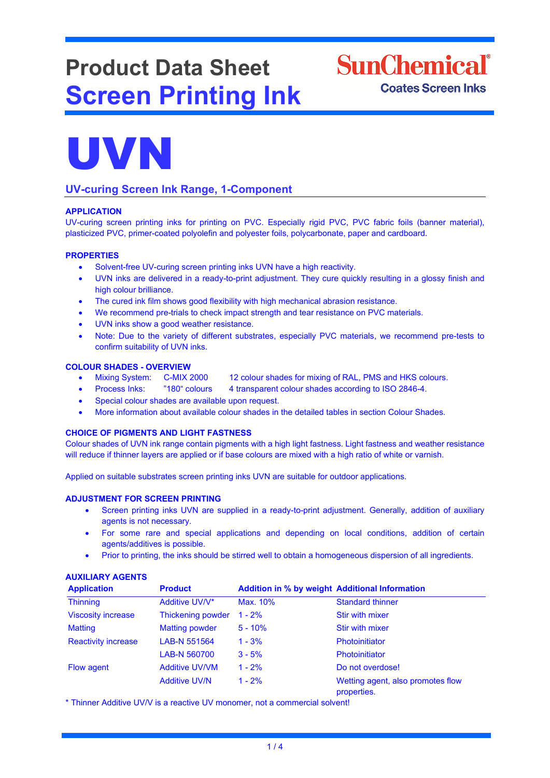# **Product Data Sheet Screen Printing Ink**





# **UV-curing Screen Ink Range, 1-Component**

## **APPLICATION**

UV-curing screen printing inks for printing on PVC. Especially rigid PVC, PVC fabric foils (banner material), plasticized PVC, primer-coated polyolefin and polyester foils, polycarbonate, paper and cardboard.

#### **PROPERTIES**

- Solvent-free UV-curing screen printing inks UVN have a high reactivity.
- UVN inks are delivered in a ready-to-print adjustment. They cure quickly resulting in a glossy finish and high colour brilliance.
- The cured ink film shows good flexibility with high mechanical abrasion resistance.
- We recommend pre-trials to check impact strength and tear resistance on PVC materials.
- UVN inks show a good weather resistance.
- Note: Due to the variety of different substrates, especially PVC materials, we recommend pre-tests to confirm suitability of UVN inks.

#### **COLOUR SHADES - OVERVIEW**

- Mixing System: C-MIX 2000 12 colour shades for mixing of RAL, PMS and HKS colours.
- Process Inks: "180" colours 4 transparent colour shades according to ISO 2846-4.
- Special colour shades are available upon request.
- More information about available colour shades in the detailed tables in section Colour Shades.

#### **CHOICE OF PIGMENTS AND LIGHT FASTNESS**

Colour shades of UVN ink range contain pigments with a high light fastness. Light fastness and weather resistance will reduce if thinner layers are applied or if base colours are mixed with a high ratio of white or varnish.

Applied on suitable substrates screen printing inks UVN are suitable for outdoor applications.

#### **ADJUSTMENT FOR SCREEN PRINTING**

- Screen printing inks UVN are supplied in a ready-to-print adjustment. Generally, addition of auxiliary agents is not necessary.
- For some rare and special applications and depending on local conditions, addition of certain agents/additives is possible.
- Prior to printing, the inks should be stirred well to obtain a homogeneous dispersion of all ingredients.

# **AUXILIARY AGENTS**

| <b>Application</b>         | <b>Product</b>        | <b>Addition in % by weight Additional Information</b> |                                                  |
|----------------------------|-----------------------|-------------------------------------------------------|--------------------------------------------------|
| <b>Thinning</b>            | Additive UV/V*        | Max. 10%                                              | <b>Standard thinner</b>                          |
| <b>Viscosity increase</b>  | Thickening powder     | $1 - 2%$                                              | Stir with mixer                                  |
| <b>Matting</b>             | <b>Matting powder</b> | $5 - 10%$                                             | Stir with mixer                                  |
| <b>Reactivity increase</b> | LAB-N 551564          | $1 - 3%$                                              | <b>Photoinitiator</b>                            |
|                            | LAB-N 560700          | $3 - 5%$                                              | <b>Photoinitiator</b>                            |
| <b>Flow agent</b>          | <b>Additive UV/VM</b> | $1 - 2%$                                              | Do not overdose!                                 |
|                            | <b>Additive UV/N</b>  | $1 - 2%$                                              | Wetting agent, also promotes flow<br>properties. |

\* Thinner Additive UV/V is a reactive UV monomer, not a commercial solvent!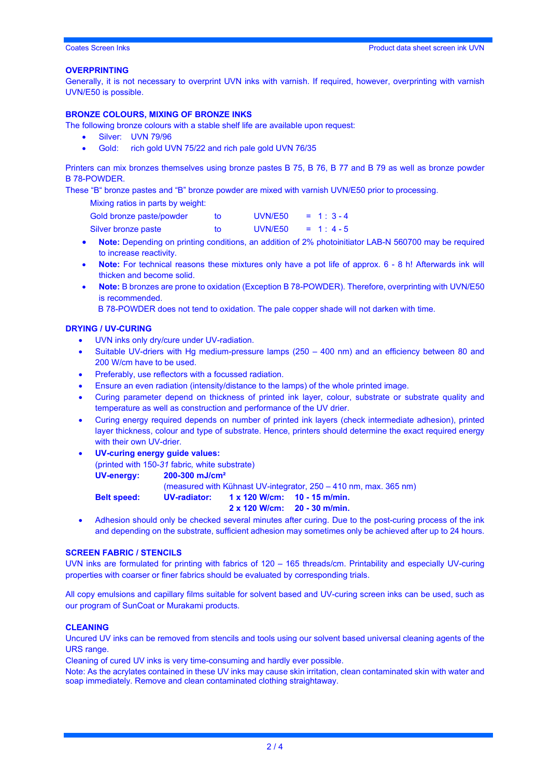#### **OVERPRINTING**

Generally, it is not necessary to overprint UVN inks with varnish. If required, however, overprinting with varnish UVN/E50 is possible.

#### **BRONZE COLOURS, MIXING OF BRONZE INKS**

- The following bronze colours with a stable shelf life are available upon request:
	- Silver: UVN 79/96
	- Gold: rich gold UVN 75/22 and rich pale gold UVN 76/35

Printers can mix bronzes themselves using bronze pastes B 75, B 76, B 77 and B 79 as well as bronze powder B 78-POWDER.

These "B" bronze pastes and "B" bronze powder are mixed with varnish UVN/E50 prior to processing.

Mixing ratios in parts by weight:

| Gold bronze paste/powder |     | UVN/E50 | $= 1: 3-4$ |
|--------------------------|-----|---------|------------|
| Silver bronze paste      | to. | UVN/E50 | $= 1: 4-5$ |

- **Note:** Depending on printing conditions, an addition of 2% photoinitiator LAB-N 560700 may be required to increase reactivity.
- **Note:** For technical reasons these mixtures only have a pot life of approx. 6 8 h! Afterwards ink will thicken and become solid.
- **Note:** B bronzes are prone to oxidation (Exception B 78-POWDER). Therefore, overprinting with UVN/E50 is recommended.

B 78-POWDER does not tend to oxidation. The pale copper shade will not darken with time.

#### **DRYING / UV-CURING**

- UVN inks only dry/cure under UV-radiation.
- Suitable UV-driers with Hg medium-pressure lamps (250 400 nm) and an efficiency between 80 and 200 W/cm have to be used.
- Preferably, use reflectors with a focussed radiation.
- Ensure an even radiation (intensity/distance to the lamps) of the whole printed image.
- Curing parameter depend on thickness of printed ink layer, colour, substrate or substrate quality and temperature as well as construction and performance of the UV drier.
- Curing energy required depends on number of printed ink layers (check intermediate adhesion), printed layer thickness, colour and type of substrate. Hence, printers should determine the exact required energy with their own UV-drier.
- **UV-curing energy guide values:**  (printed with 150-*31* fabric*,* white substrate) **UV-energy: 200-300 mJ/cm²** (measured with Kühnast UV-integrator, 250 – 410 nm, max. 365 nm) **Belt speed: UV-radiator: 1 x 120 W/cm: 10 - 15 m/min. 2 x 120 W/cm: 20 - 30 m/min.**
- Adhesion should only be checked several minutes after curing. Due to the post-curing process of the ink and depending on the substrate, sufficient adhesion may sometimes only be achieved after up to 24 hours.

#### **SCREEN FABRIC / STENCILS**

UVN inks are formulated for printing with fabrics of 120 – 165 threads/cm. Printability and especially UV-curing properties with coarser or finer fabrics should be evaluated by corresponding trials.

All copy emulsions and capillary films suitable for solvent based and UV-curing screen inks can be used, such as our program of SunCoat or Murakami products.

#### **CLEANING**

Uncured UV inks can be removed from stencils and tools using our solvent based universal cleaning agents of the URS range.

Cleaning of cured UV inks is very time-consuming and hardly ever possible.

Note: As the acrylates contained in these UV inks may cause skin irritation, clean contaminated skin with water and soap immediately. Remove and clean contaminated clothing straightaway.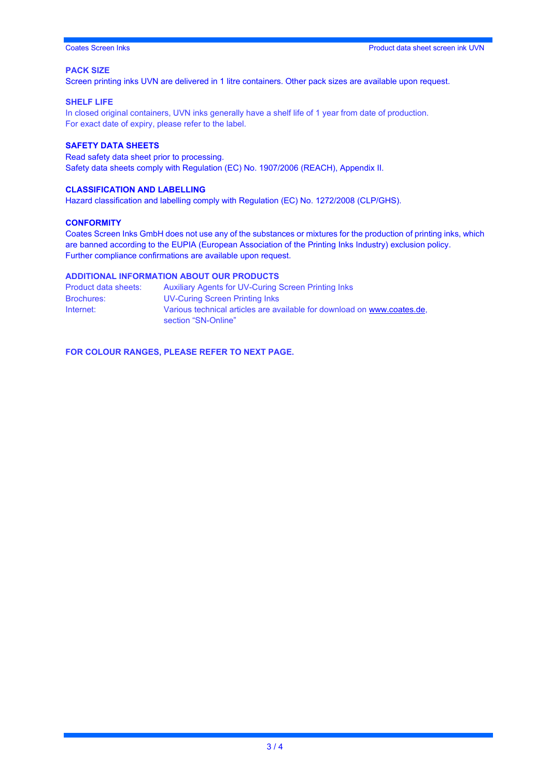### **PACK SIZE**

Screen printing inks UVN are delivered in 1 litre containers. Other pack sizes are available upon request.

#### **SHELF LIFE**

In closed original containers, UVN inks generally have a shelf life of 1 year from date of production. For exact date of expiry, please refer to the label.

#### **SAFETY DATA SHEETS**

Read safety data sheet prior to processing. Safety data sheets comply with Regulation (EC) No. 1907/2006 (REACH), Appendix II.

### **CLASSIFICATION AND LABELLING**

Hazard classification and labelling comply with Regulation (EC) No. 1272/2008 (CLP/GHS).

#### **CONFORMITY**

Coates Screen Inks GmbH does not use any of the substances or mixtures for the production of printing inks, which are banned according to the EUPIA (European Association of the Printing Inks Industry) exclusion policy. Further compliance confirmations are available upon request.

#### **ADDITIONAL INFORMATION ABOUT OUR PRODUCTS**

| Product data sheets: | <b>Auxiliary Agents for UV-Curing Screen Printing Inks</b>                                     |
|----------------------|------------------------------------------------------------------------------------------------|
| <b>Brochures:</b>    | UV-Curing Screen Printing Inks                                                                 |
| Internet:            | Various technical articles are available for download on www.coates.de.<br>section "SN-Online" |

**FOR COLOUR RANGES, PLEASE REFER TO NEXT PAGE.**